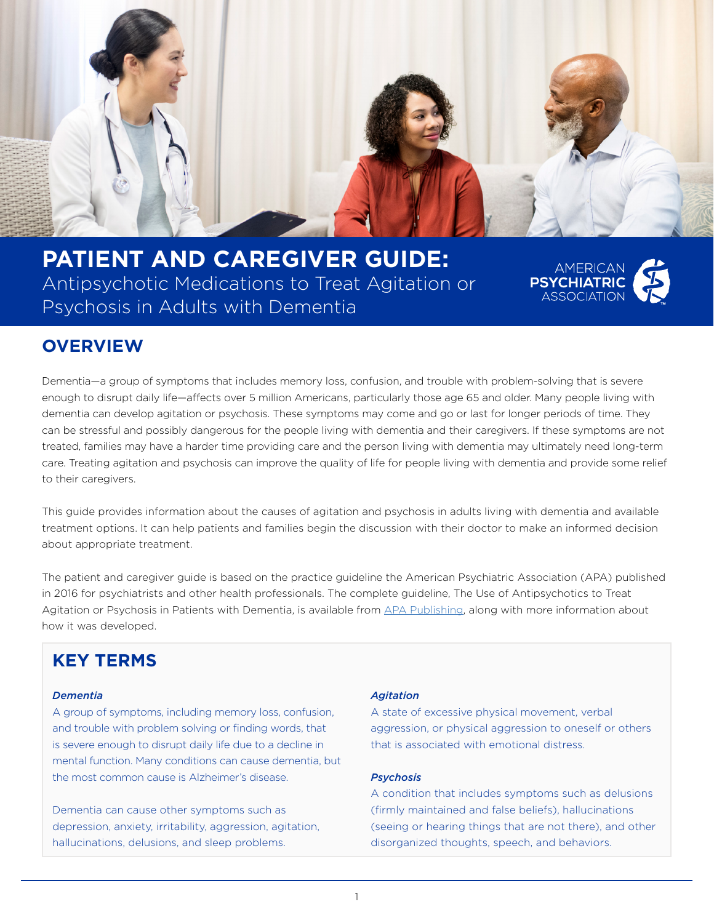

**PATIENT AND CAREGIVER GUIDE:**  Antipsychotic Medications to Treat Agitation or Psychosis in Adults with Dementia



### **OVERVIEW**

Dementia—a group of symptoms that includes memory loss, confusion, and trouble with problem-solving that is severe enough to disrupt daily life—affects over 5 million Americans, particularly those age 65 and older. Many people living with dementia can develop agitation or psychosis. These symptoms may come and go or last for longer periods of time. They can be stressful and possibly dangerous for the people living with dementia and their caregivers. If these symptoms are not treated, families may have a harder time providing care and the person living with dementia may ultimately need long-term care. Treating agitation and psychosis can improve the quality of life for people living with dementia and provide some relief to their caregivers.

This guide provides information about the causes of agitation and psychosis in adults living with dementia and available treatment options. It can help patients and families begin the discussion with their doctor to make an informed decision about appropriate treatment.

The patient and caregiver guide is based on the practice guideline the American Psychiatric Association (APA) published in 2016 for psychiatrists and other health professionals. The complete guideline, The Use of Antipsychotics to Treat Agitation or Psychosis in Patients with Dementia, is available from APA Publishing, along with more information about how it was developed.

### **KEY TERMS**

#### *Dementia*

A group of symptoms, including memory loss, confusion, and trouble with problem solving or finding words, that is severe enough to disrupt daily life due to a decline in mental function. Many conditions can cause dementia, but the most common cause is Alzheimer's disease.

Dementia can cause other symptoms such as depression, anxiety, irritability, aggression, agitation, hallucinations, delusions, and sleep problems.

#### *Agitation*

A state of excessive physical movement, verbal aggression, or physical aggression to oneself or others that is associated with emotional distress.

#### *Psychosis*

A condition that includes symptoms such as delusions (firmly maintained and false beliefs), hallucinations (seeing or hearing things that are not there), and other disorganized thoughts, speech, and behaviors.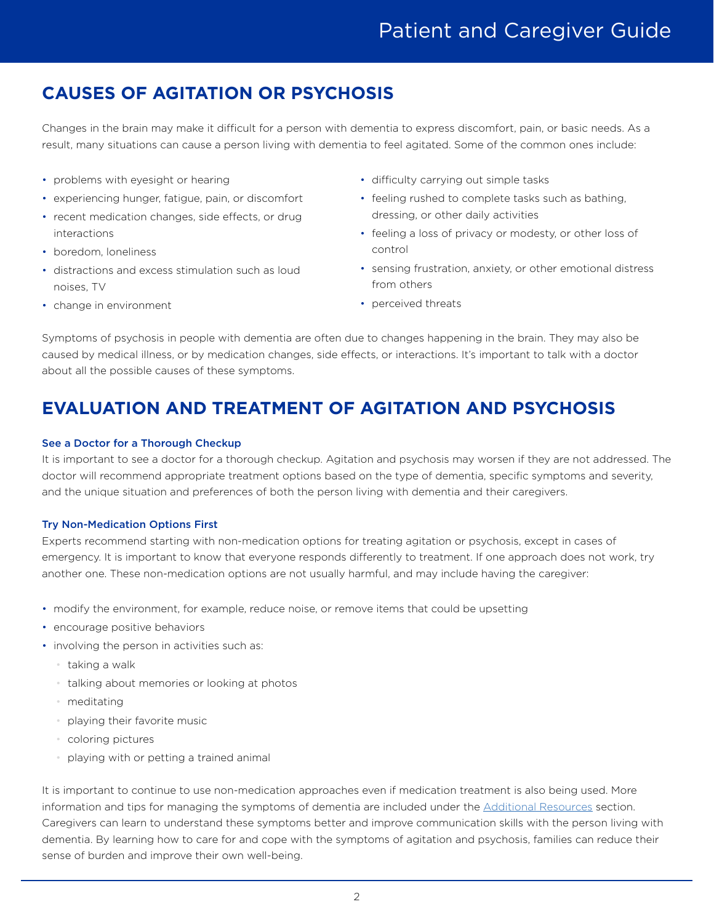# Patient and Caregiver Guide

## **CAUSES OF AGITATION OR PSYCHOSIS**

Changes in the brain may make it difficult for a person with dementia to express discomfort, pain, or basic needs. As a result, many situations can cause a person living with dementia to feel agitated. Some of the common ones include:

- problems with eyesight or hearing
- experiencing hunger, fatigue, pain, or discomfort
- recent medication changes, side effects, or drug interactions
- boredom, loneliness
- distractions and excess stimulation such as loud noises, TV
- change in environment
- difficulty carrying out simple tasks
- feeling rushed to complete tasks such as bathing, dressing, or other daily activities
- feeling a loss of privacy or modesty, or other loss of control
- sensing frustration, anxiety, or other emotional distress from others
- perceived threats

Symptoms of psychosis in people with dementia are often due to changes happening in the brain. They may also be caused by medical illness, or by medication changes, side effects, or interactions. It's important to talk with a doctor about all the possible causes of these symptoms.

## **EVALUATION AND TREATMENT OF AGITATION AND PSYCHOSIS**

#### See a Doctor for a Thorough Checkup

It is important to see a doctor for a thorough checkup. Agitation and psychosis may worsen if they are not addressed. The doctor will recommend appropriate treatment options based on the type of dementia, specific symptoms and severity, and the unique situation and preferences of both the person living with dementia and their caregivers.

#### Try Non-Medication Options First

Experts recommend starting with non-medication options for treating agitation or psychosis, except in cases of emergency. It is important to know that everyone responds differently to treatment. If one approach does not work, try another one. These non-medication options are not usually harmful, and may include having the caregiver:

- modify the environment, for example, reduce noise, or remove items that could be upsetting
- encourage positive behaviors
- involving the person in activities such as:
	- taking a walk
	- talking about memories or looking at photos
	- meditating
	- playing their favorite music
	- coloring pictures
	- playing with or petting a trained animal

It is important to continue to use non-medication approaches even if medication treatment is also being used. More information and tips for managing the symptoms of dementia are included under the [Additional Resources](#page-3-0) section. Caregivers can learn to understand these symptoms better and improve communication skills with the person living with dementia. By learning how to care for and cope with the symptoms of agitation and psychosis, families can reduce their sense of burden and improve their own well-being.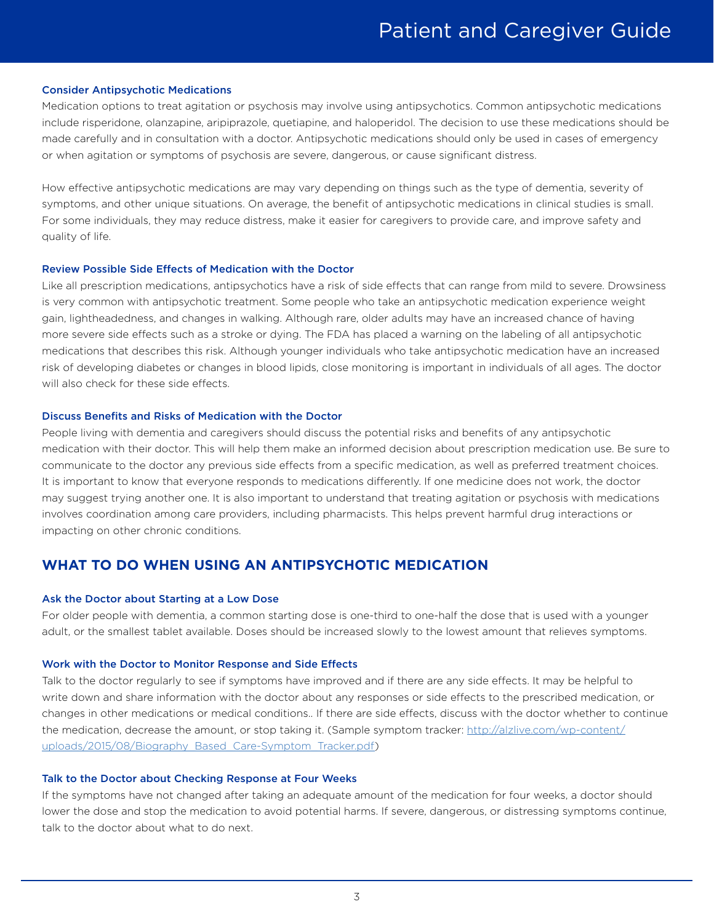#### Consider Antipsychotic Medications

Medication options to treat agitation or psychosis may involve using antipsychotics. Common antipsychotic medications include risperidone, olanzapine, aripiprazole, quetiapine, and haloperidol. The decision to use these medications should be made carefully and in consultation with a doctor. Antipsychotic medications should only be used in cases of emergency or when agitation or symptoms of psychosis are severe, dangerous, or cause significant distress.

How effective antipsychotic medications are may vary depending on things such as the type of dementia, severity of symptoms, and other unique situations. On average, the benefit of antipsychotic medications in clinical studies is small. For some individuals, they may reduce distress, make it easier for caregivers to provide care, and improve safety and quality of life.

#### Review Possible Side Effects of Medication with the Doctor

Like all prescription medications, antipsychotics have a risk of side effects that can range from mild to severe. Drowsiness is very common with antipsychotic treatment. Some people who take an antipsychotic medication experience weight gain, lightheadedness, and changes in walking. Although rare, older adults may have an increased chance of having more severe side effects such as a stroke or dying. The FDA has placed a warning on the labeling of all antipsychotic medications that describes this risk. Although younger individuals who take antipsychotic medication have an increased risk of developing diabetes or changes in blood lipids, close monitoring is important in individuals of all ages. The doctor will also check for these side effects.

#### Discuss Benefits and Risks of Medication with the Doctor

People living with dementia and caregivers should discuss the potential risks and benefits of any antipsychotic medication with their doctor. This will help them make an informed decision about prescription medication use. Be sure to communicate to the doctor any previous side effects from a specific medication, as well as preferred treatment choices. It is important to know that everyone responds to medications differently. If one medicine does not work, the doctor may suggest trying another one. It is also important to understand that treating agitation or psychosis with medications involves coordination among care providers, including pharmacists. This helps prevent harmful drug interactions or impacting on other chronic conditions.

### **WHAT TO DO WHEN USING AN ANTIPSYCHOTIC MEDICATION**

#### Ask the Doctor about Starting at a Low Dose

For older people with dementia, a common starting dose is one-third to one-half the dose that is used with a younger adult, or the smallest tablet available. Doses should be increased slowly to the lowest amount that relieves symptoms.

#### Work with the Doctor to Monitor Response and Side Effects

Talk to the doctor regularly to see if symptoms have improved and if there are any side effects. It may be helpful to write down and share information with the doctor about any responses or side effects to the prescribed medication, or changes in other medications or medical conditions.. If there are side effects, discuss with the doctor whether to continue the medication, decrease the amount, or stop taking it. (Sample symptom tracker: http://alzlive.com/wp-content/ uploads/2015/08/Biography\_Based\_Care-Symptom\_Tracker.pdf)

#### Talk to the Doctor about Checking Response at Four Weeks

If the symptoms have not changed after taking an adequate amount of the medication for four weeks, a doctor should lower the dose and stop the medication to avoid potential harms. If severe, dangerous, or distressing symptoms continue, talk to the doctor about what to do next.